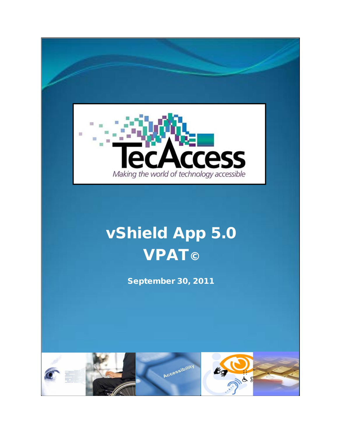

# vShield App 5.0 **VPAT©**

September 30, 2011

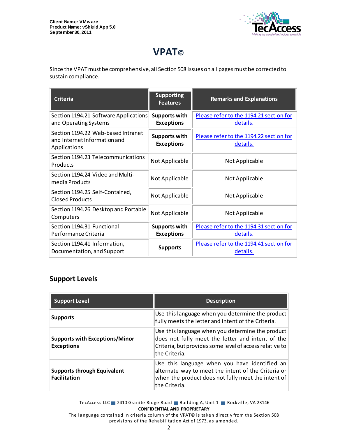

# **VPAT©**

Since the VPAT must be comprehensive, all Section 508 issues on all pages must be corrected to sustain compliance.

| <b>Criteria</b>                                                                    | <b>Supporting</b><br><b>Features</b>      | <b>Remarks and Explanations</b>                     |
|------------------------------------------------------------------------------------|-------------------------------------------|-----------------------------------------------------|
| Section 1194.21 Software Applications<br>and Operating Systems                     | <b>Supports with</b><br><b>Exceptions</b> | Please refer to the 1194.21 section for<br>details. |
| Section 1194.22 Web-based Intranet<br>and Internet Information and<br>Applications | <b>Supports with</b><br><b>Exceptions</b> | Please refer to the 1194.22 section for<br>details. |
| Section 1194.23 Telecommunications<br>Products                                     | Not Applicable                            | Not Applicable                                      |
| Section 1194.24 Video and Multi-<br>media Products                                 | Not Applicable                            | Not Applicable                                      |
| Section 1194.25 Self-Contained,<br>Closed Products                                 | Not Applicable                            | Not Applicable                                      |
| Section 1194.26 Desktop and Portable<br>Computers                                  | Not Applicable                            | Not Applicable                                      |
| Section 1194.31 Functional<br>Performance Criteria                                 | <b>Supports with</b><br><b>Exceptions</b> | Please refer to the 1194.31 section for<br>details. |
| Section 1194.41 Information,<br>Documentation, and Support                         | <b>Supports</b>                           | Please refer to the 1194.41 section for<br>details. |

#### **Support Levels**

| <b>Support Level</b>                                       | <b>Description</b>                                                                                                                                                               |
|------------------------------------------------------------|----------------------------------------------------------------------------------------------------------------------------------------------------------------------------------|
| <b>Supports</b>                                            | Use this language when you determine the product<br>fully meets the letter and intent of the Criteria.                                                                           |
| <b>Supports with Exceptions/Minor</b><br><b>Exceptions</b> | Use this language when you determine the product<br>does not fully meet the letter and intent of the<br>Criteria, but provides some level of access relative to<br>the Criteria. |
| <b>Supports through Equivalent</b><br><b>Facilitation</b>  | Use this language when you have identified an<br>alternate way to meet the intent of the Criteria or<br>when the product does not fully meet the intent of<br>lthe Criteria.     |

TecAccess LLC 2410 Granite Ridge Road Building A, Unit 1 Rockville, VA 23146 **CONFIDENTIAL AND PROPRIETARY**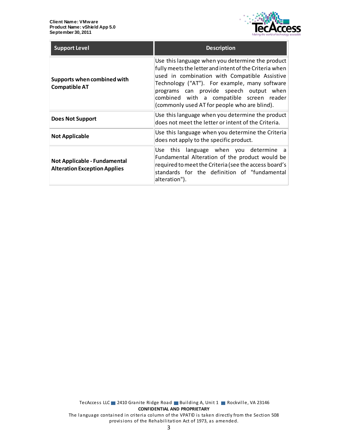

| <b>Support Level</b>                                                | <b>Description</b>                                                                                                                                                                                                                                                                                                                                  |
|---------------------------------------------------------------------|-----------------------------------------------------------------------------------------------------------------------------------------------------------------------------------------------------------------------------------------------------------------------------------------------------------------------------------------------------|
| Supports when combined with<br><b>Compatible AT</b>                 | Use this language when you determine the product<br>fully meets the letter and intent of the Criteria when<br>used in combination with Compatible Assistive<br>Technology ("AT"). For example, many software<br>programs can provide speech output when<br>combined with a compatible screen reader<br>(commonly used AT for people who are blind). |
| <b>Does Not Support</b>                                             | Use this language when you determine the product<br>does not meet the letter or intent of the Criteria.                                                                                                                                                                                                                                             |
| <b>Not Applicable</b>                                               | Use this language when you determine the Criteria<br>does not apply to the specific product.                                                                                                                                                                                                                                                        |
| Not Applicable - Fundamental<br><b>Alteration Exception Applies</b> | Use this language when you determine a<br>Fundamental Alteration of the product would be<br>required to meet the Criteria (see the access board's<br>standards for the definition of "fundamental<br>alteration").                                                                                                                                  |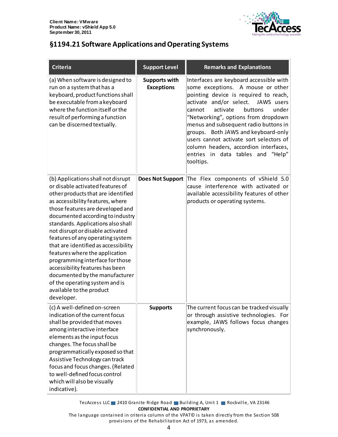

# <span id="page-3-0"></span>**§1194.21 Software Applications and Operating Systems**

| <b>Criteria</b>                                                                                                                                                                                                                                                                                                                                                                                                                                                                                                                                                                                      | <b>Support Level</b>                      | <b>Remarks and Explanations</b>                                                                                                                                                                                                                                                                                                                                                                                                                                       |
|------------------------------------------------------------------------------------------------------------------------------------------------------------------------------------------------------------------------------------------------------------------------------------------------------------------------------------------------------------------------------------------------------------------------------------------------------------------------------------------------------------------------------------------------------------------------------------------------------|-------------------------------------------|-----------------------------------------------------------------------------------------------------------------------------------------------------------------------------------------------------------------------------------------------------------------------------------------------------------------------------------------------------------------------------------------------------------------------------------------------------------------------|
| (a) When software is designed to<br>run on a system that has a<br>keyboard, product functions shall<br>be executable from a keyboard<br>where the function itself or the<br>result of performing a function<br>can be discerned textually.                                                                                                                                                                                                                                                                                                                                                           | <b>Supports with</b><br><b>Exceptions</b> | Interfaces are keyboard accessible with<br>some exceptions. A mouse or other<br>pointing device is required to reach,<br>activate and/or select.<br>JAWS users<br>activate<br>cannot<br>buttons<br>under<br>"Networking", options from dropdown<br>menus and subsequent radio buttons in<br>groups. Both JAWS and keyboard-only<br>users cannot activate sort selectors of<br>column headers, accordion interfaces,<br>entries in data tables and "Help"<br>tooltips. |
| (b) Applications shall not disrupt<br>or disable activated features of<br>other products that are identified<br>as accessibility features, where<br>those features are developed and<br>documented according to industry<br>standards. Applications also shall<br>not disrupt or disable activated<br>features of any operating system<br>that are identified as accessibility<br>features where the application<br>programming interface for those<br>accessibility features has been<br>documented by the manufacturer<br>of the operating system and is<br>available to the product<br>developer. | <b>Does Not Support</b>                   | The Flex components of vShield 5.0<br>cause interference with activated or<br>available accessibility features of other<br>products or operating systems.                                                                                                                                                                                                                                                                                                             |
| (c) A well-defined on-screen<br>indication of the current focus<br>shall be provided that moves<br>among interactive interface<br>elements as the input focus<br>changes. The focus shall be<br>programmatically exposed so that<br>Assistive Technology can track<br>focus and focus changes. (Related<br>to well-defined focus control<br>which will also be visually<br>indicative).                                                                                                                                                                                                              | <b>Supports</b>                           | The current focus can be tracked visually<br>or through assistive technologies. For<br>example, JAWS follows focus changes<br>synchronously.                                                                                                                                                                                                                                                                                                                          |

TecAccess LLC 2410 Granite Ridge Road Building A, Unit 1 Rockville, VA 23146 **CONFIDENTIAL AND PROPRIETARY**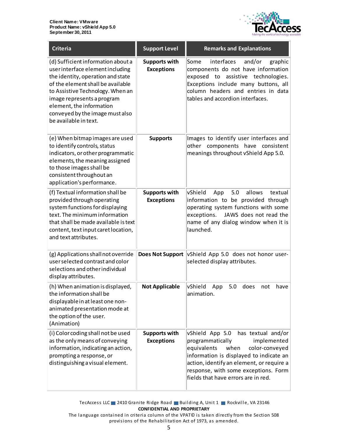

| <b>Criteria</b>                                                                                                                                                                                                                                                                                            | <b>Support Level</b>                      | <b>Remarks and Explanations</b>                                                                                                                                                                                                                                                          |
|------------------------------------------------------------------------------------------------------------------------------------------------------------------------------------------------------------------------------------------------------------------------------------------------------------|-------------------------------------------|------------------------------------------------------------------------------------------------------------------------------------------------------------------------------------------------------------------------------------------------------------------------------------------|
| (d) Sufficient information about a<br>user interface element including<br>the identity, operation and state<br>of the element shall be available<br>to Assistive Technology. When an<br>image represents a program<br>element, the information<br>conveyed by the image must also<br>be available in text. | <b>Supports with</b><br><b>Exceptions</b> | interfaces<br>Some<br>and/or<br>graphic<br>components do not have information<br>exposed to<br>assistive technologies.<br>Exceptions include many buttons, all<br>column headers and entries in data<br>tables and accordion interfaces.                                                 |
| (e) When bitmap images are used<br>to identify controls, status<br>indicators, or other programmatic<br>elements, the meaning assigned<br>to those images shall be<br>consistent throughout an<br>application's performance.                                                                               | <b>Supports</b>                           | Images to identify user interfaces and<br>other components have<br>consistent<br>meanings throughout vShield App 5.0.                                                                                                                                                                    |
| (f) Textual information shall be<br>provided through operating<br>system functions for displaying<br>text. The minimum information<br>that shall be made available is text<br>content, text input caret location,<br>and text attributes.                                                                  | <b>Supports with</b><br><b>Exceptions</b> | vShield<br>5.0<br>allows<br>textual<br>App<br>information to be provided through<br>operating system functions with some<br>JAWS does not read the<br>exceptions.<br>name of any dialog window when it is<br>launched.                                                                   |
| (g) Applications shall not override<br>user selected contrast and color<br>selections and other individual<br>display attributes.                                                                                                                                                                          | <b>Does Not Support</b>                   | vShield App 5.0 does not honor user-<br>selected display attributes.                                                                                                                                                                                                                     |
| (h) When animation is displayed,<br>the information shall be<br>displayable in at least one non-<br>animated presentation mode at<br>the option of the user.<br>(Animation)                                                                                                                                | <b>Not Applicable</b>                     | <b>vShield</b><br>5.0<br>does<br>have<br>App<br>not<br>animation.                                                                                                                                                                                                                        |
| (i) Color coding shall not be used<br>as the only means of conveying<br>information, indicating an action,<br>prompting a response, or<br>distinguishing a visual element.                                                                                                                                 | <b>Supports with</b><br><b>Exceptions</b> | vShield App 5.0<br>has textual and/or<br>implemented<br>programmatically<br>equivalents<br>when<br>color-conveyed<br>information is displayed to indicate an<br>action, identify an element, or require a<br>response, with some exceptions. Form<br>fields that have errors are in red. |

TecAccess LLC 2410 Granite Ridge Road Building A, Unit 1 Rockville, VA 23146 **CONFIDENTIAL AND PROPRIETARY**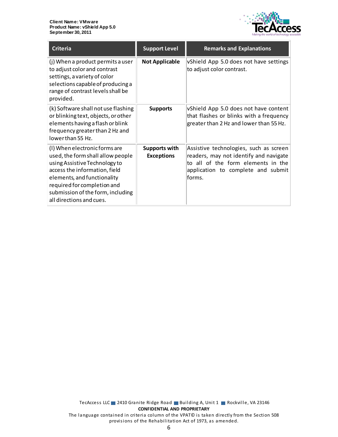

| <b>Criteria</b>                                                                                                                                                                                                                                                     | <b>Support Level</b>               | <b>Remarks and Explanations</b>                                                                                                                                        |
|---------------------------------------------------------------------------------------------------------------------------------------------------------------------------------------------------------------------------------------------------------------------|------------------------------------|------------------------------------------------------------------------------------------------------------------------------------------------------------------------|
| (j) When a product permits a user<br>to adjust color and contrast<br>settings, a variety of color<br>selections capable of producing a<br>range of contrast levels shall be<br>provided.                                                                            | <b>Not Applicable</b>              | vShield App 5.0 does not have settings<br>to adjust color contrast.                                                                                                    |
| (k) Software shall not use flashing<br>or blinking text, objects, or other<br>elements having a flash or blink<br>frequency greater than 2 Hz and<br>lowerthan 55 Hz.                                                                                               | <b>Supports</b>                    | vShield App 5.0 does not have content<br>that flashes or blinks with a frequency<br>greater than 2 Hz and lower than 55 Hz.                                            |
| (I) When electronic forms are<br>used, the form shall allow people<br>using Assistive Technology to<br>access the information, field<br>elements, and functionality<br>required for completion and<br>submission of the form, including<br>all directions and cues. | Supports with<br><b>Exceptions</b> | Assistive technologies, such as screen<br>readers, may not identify and navigate<br>to all of the form elements in the<br>application to complete and submit<br>forms. |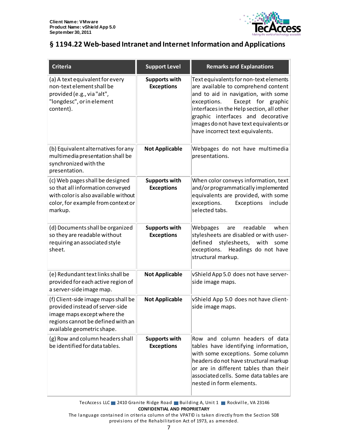

# <span id="page-6-0"></span>**§ 1194.22 Web-based Intranet and Internet Information and Applications**

| <b>Criteria</b>                                                                                                                                                          | <b>Support Level</b>                      | <b>Remarks and Explanations</b>                                                                                                                                                                                                                                                                                           |
|--------------------------------------------------------------------------------------------------------------------------------------------------------------------------|-------------------------------------------|---------------------------------------------------------------------------------------------------------------------------------------------------------------------------------------------------------------------------------------------------------------------------------------------------------------------------|
| (a) A text equivalent for every<br>non-text element shall be<br>provided (e.g., via "alt",<br>"longdesc", or in element<br>content).                                     | <b>Supports with</b><br><b>Exceptions</b> | Text equivalents for non-text elements<br>are available to comprehend content<br>and to aid in navigation, with some<br>Except for graphic<br>exceptions.<br>interfaces in the Help section, all other<br>graphic interfaces and decorative<br>images do not have text equivalents or<br>have incorrect text equivalents. |
| (b) Equivalent alternatives for any<br>multimedia presentation shall be<br>synchronized with the<br>presentation.                                                        | <b>Not Applicable</b>                     | Webpages do not have multimedia<br>presentations.                                                                                                                                                                                                                                                                         |
| (c) Web pages shall be designed<br>so that all information conveyed<br>with color is also available without<br>color, for example from context or<br>markup.             | <b>Supports with</b><br><b>Exceptions</b> | When color conveys information, text<br>and/or programmatically implemented<br>equivalents are provided, with some<br>exceptions.<br>Exceptions<br>include<br>selected tabs.                                                                                                                                              |
| (d) Documents shall be organized<br>so they are readable without<br>requiring an associated style<br>sheet.                                                              | <b>Supports with</b><br><b>Exceptions</b> | when<br>Webpages<br>readable<br>are<br>stylesheets are disabled or with user-<br>defined<br>stylesheets, with<br>some<br>exceptions. Headings do not have<br>structural markup.                                                                                                                                           |
| (e) Redundant text links shall be<br>provided for each active region of<br>a server-side image map.                                                                      | <b>Not Applicable</b>                     | vShield App 5.0 does not have server-<br>side image maps.                                                                                                                                                                                                                                                                 |
| (f) Client-side image maps shall be<br>provided instead of server-side<br>image maps except where the<br>regions cannot be defined with an<br>available geometric shape. | <b>Not Applicable</b>                     | vShield App 5.0 does not have client-<br>side image maps.                                                                                                                                                                                                                                                                 |
| (g) Row and column headers shall<br>be identified for data tables.                                                                                                       | <b>Supports with</b><br><b>Exceptions</b> | Row and column headers of data<br>tables have identifying information,<br>with some exceptions. Some column<br>headers do not have structural markup<br>or are in different tables than their<br>associated cells. Some data tables are<br>nested in form elements.                                                       |

TecAccess LLC 2410 Granite Ridge Road Building A, Unit 1 Rockville, VA 23146 **CONFIDENTIAL AND PROPRIETARY**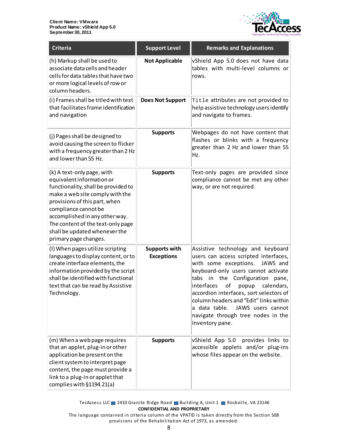

| <b>Criteria</b>                                                                                                                                                                                                                                                                                                             | <b>Support Level</b>                      | <b>Remarks and Explanations</b>                                                                                                                                                                                                                                                                                                                                                                                                   |
|-----------------------------------------------------------------------------------------------------------------------------------------------------------------------------------------------------------------------------------------------------------------------------------------------------------------------------|-------------------------------------------|-----------------------------------------------------------------------------------------------------------------------------------------------------------------------------------------------------------------------------------------------------------------------------------------------------------------------------------------------------------------------------------------------------------------------------------|
| (h) Markup shall be used to<br>associate data cells and header<br>cells for data tables that have two<br>or more logical levels of row or<br>column headers.                                                                                                                                                                | <b>Not Applicable</b>                     | vShield App 5.0 does not have data<br>tables with multi-level columns or<br>rows.                                                                                                                                                                                                                                                                                                                                                 |
| (i) Frames shall be titled with text<br>that facilitates frame identification<br>and navigation                                                                                                                                                                                                                             | <b>Does Not Support</b>                   | Title attributes are not provided to<br>help assistive technology users identify<br>and navigate to frames.                                                                                                                                                                                                                                                                                                                       |
| (j) Pages shall be designed to<br>avoid causing the screen to flicker<br>with a frequency greater than 2 Hz<br>and lower than 55 Hz.                                                                                                                                                                                        | <b>Supports</b>                           | Webpages do not have content that<br>flashes or blinks with a frequency<br>greater than 2 Hz and lower than 55<br>Hz.                                                                                                                                                                                                                                                                                                             |
| (k) A text-only page, with<br>equivalent information or<br>functionality, shall be provided to<br>make a web site comply with the<br>provisions of this part, when<br>compliance cannot be<br>accomplished in any other way.<br>The content of the text-only page<br>shall be updated whenever the<br>primary page changes. | <b>Supports</b>                           | Text-only pages are provided since<br>compliance cannot be met any other<br>way, or are not required.                                                                                                                                                                                                                                                                                                                             |
| (I) When pages utilize scripting<br>languages to display content, or to<br>create interface elements, the<br>information provided by the script<br>shall be identified with functional<br>text that can be read by Assistive<br>Technology.                                                                                 | <b>Supports with</b><br><b>Exceptions</b> | Assistive technology and keyboard<br>users can access scripted interfaces,<br>with some exceptions.<br>JAWS and<br>keyboard-only users cannot activate<br>in the<br>Configuration<br>tabs<br>pane,<br>interfaces<br>оf<br>calendars,<br>popup<br>accordion interfaces, sort selectors of<br>column headers and "Edit" links within<br>a data table.<br>JAWS users cannot<br>navigate through tree nodes in the<br>Inventory pane. |
| (m) When a web page requires<br>that an applet, plug-in or other<br>application be present on the<br>client system to interpret page<br>content, the page must provide a<br>link to a plug-in or applet that<br>complies with §1194.21(a)                                                                                   | <b>Supports</b>                           | provides links to<br>vShield App 5.0<br>accessible applets and/or plug-ins<br>whose files appear on the website.                                                                                                                                                                                                                                                                                                                  |

TecAccess LLC 2410 Granite Ridge Road Building A, Unit 1 Rockville, VA 23146 **CONFIDENTIAL AND PROPRIETARY**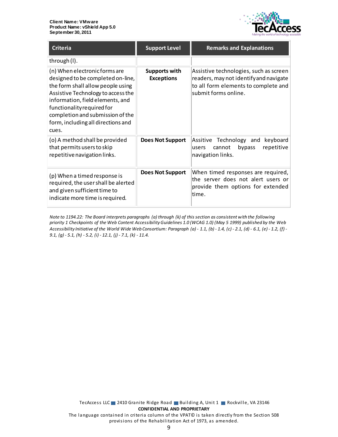

| <b>Criteria</b>                                                                                                                                                                                                                                                                                    | <b>Support Level</b>                      | <b>Remarks and Explanations</b>                                                                                                                  |
|----------------------------------------------------------------------------------------------------------------------------------------------------------------------------------------------------------------------------------------------------------------------------------------------------|-------------------------------------------|--------------------------------------------------------------------------------------------------------------------------------------------------|
| through (I).                                                                                                                                                                                                                                                                                       |                                           |                                                                                                                                                  |
| (n) When electronic forms are<br>designed to be completed on-line,<br>the form shall allow people using<br>Assistive Technology to access the<br>information, field elements, and<br>functionality required for<br>completion and submission of the<br>form, including all directions and<br>cues. | <b>Supports with</b><br><b>Exceptions</b> | Assistive technologies, such as screen<br>readers, may not identify and navigate<br>to all form elements to complete and<br>submit forms online. |
| (o) A method shall be provided<br>that permits users to skip<br>repetitive navigation links.                                                                                                                                                                                                       | <b>Does Not Support</b>                   | Assitive Technology and<br>keyboard<br>bypass<br>repetitive<br>cannot<br>users<br>navigation links.                                              |
| (p) When a timed response is<br>required, the user shall be alerted<br>and given sufficient time to<br>indicate more time is required.                                                                                                                                                             | <b>Does Not Support</b>                   | When timed responses are required,<br>the server does not alert users or<br>provide them options for extended<br>time.                           |

*Note to 1194.22: The Board interprets paragraphs (a) through (k) of this section as consistent with the following priority 1 Checkpoints of the Web Content Accessibility Guidelines 1.0 (WCAG 1.0) (May 5 1999) published by the Web Accessibility Initiative of the World Wide Web Consortium: Paragraph (a) - 1.1, (b) - 1.4, (c) - 2.1, (d) - 6.1, (e) - 1.2, (f) - 9.1, (g) - 5.1, (h) - 5.2, (i) - 12.1, (j) - 7.1, (k) - 11.4.*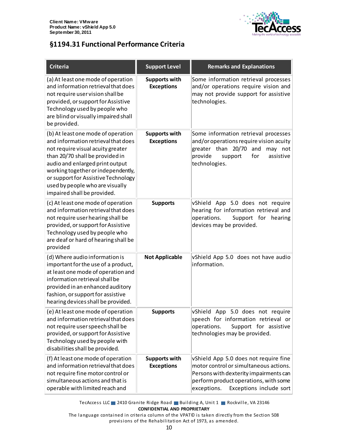

## <span id="page-9-0"></span>**§1194.31 Functional Performance Criteria**

| <b>Criteria</b>                                                                                                                                                                                                                                                                                                                     | <b>Support Level</b>                      | <b>Remarks and Explanations</b>                                                                                                                                                                              |
|-------------------------------------------------------------------------------------------------------------------------------------------------------------------------------------------------------------------------------------------------------------------------------------------------------------------------------------|-------------------------------------------|--------------------------------------------------------------------------------------------------------------------------------------------------------------------------------------------------------------|
| (a) At least one mode of operation<br>and information retrieval that does<br>not require user vision shall be<br>provided, or support for Assistive<br>Technology used by people who<br>are blind or visually impaired shall<br>be provided.                                                                                        | <b>Supports with</b><br><b>Exceptions</b> | Some information retrieval processes<br>and/or operations require vision and<br>may not provide support for assistive<br>technologies.                                                                       |
| (b) At least one mode of operation<br>and information retrieval that does<br>not require visual acuity greater<br>than 20/70 shall be provided in<br>audio and enlarged print output<br>working together or independently,<br>or support for Assistive Technology<br>used by people who are visually<br>impaired shall be provided. | <b>Supports with</b><br><b>Exceptions</b> | Some information retrieval processes<br>and/or operations require vision acuity<br>greater than 20/70 and may not<br>provide<br>for<br>assistive<br>support<br>technologies.                                 |
| (c) At least one mode of operation<br>and information retrieval that does<br>not require user hearing shall be<br>provided, or support for Assistive<br>Technology used by people who<br>are deaf or hard of hearing shall be<br>provided                                                                                           | <b>Supports</b>                           | vShield App 5.0 does not require<br>hearing for information retrieval and<br>operations.<br>Support for hearing<br>devices may be provided.                                                                  |
| (d) Where audio information is<br>important for the use of a product,<br>at least one mode of operation and<br>information retrieval shall be<br>provided in an enhanced auditory<br>fashion, or support for assistive<br>hearing devices shall be provided.                                                                        | <b>Not Applicable</b>                     | vShield App 5.0 does not have audio<br>information.                                                                                                                                                          |
| (e) At least one mode of operation<br>and information retrieval that does<br>not require user speech shall be<br>provided, or support for Assistive<br>Technology used by people with<br>disabilities shall be provided.                                                                                                            | <b>Supports</b>                           | vShield App 5.0 does not require<br>speech for information retrieval or<br>operations.<br>Support for assistive<br>technologies may be provided.                                                             |
| (f) At least one mode of operation<br>and information retrieval that does<br>not require fine motor control or<br>simultaneous actions and that is<br>operable with limited reach and                                                                                                                                               | <b>Supports with</b><br><b>Exceptions</b> | vShield App 5.0 does not require fine<br>motor control or simultaneous actions.<br>Persons with dexterity impairments can<br>perform product operations, with some<br>exceptions.<br>Exceptions include sort |

TecAccess LLC 2410 Granite Ridge Road Building A, Unit 1 Rockville, VA 23146 **CONFIDENTIAL AND PROPRIETARY**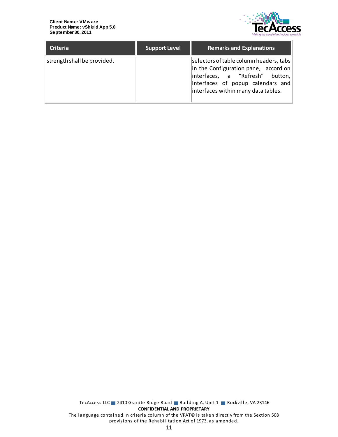

| <b>Criteria</b>             | <b>Support Level</b> | <b>Remarks and Explanations</b>                                                                                                                                                                |
|-----------------------------|----------------------|------------------------------------------------------------------------------------------------------------------------------------------------------------------------------------------------|
| strength shall be provided. |                      | selectors of table column headers, tabs<br>in the Configuration pane, accordion<br>interfaces, a "Refresh" button,<br>interfaces of popup calendars and<br>interfaces within many data tables. |

TecAccess LLC 2410 Granite Ridge Road Building A, Unit 1 Rockville, VA 23146 **CONFIDENTIAL AND PROPRIETARY** The language contained in criteria column of the VPAT© is taken directly from the Section 508 provisions of the Rehabilitation Act of 1973, as amended.